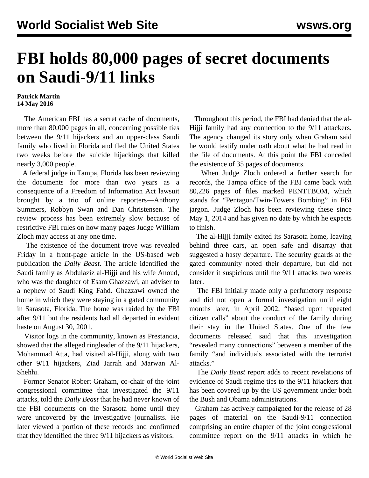## **FBI holds 80,000 pages of secret documents on Saudi-9/11 links**

## **Patrick Martin 14 May 2016**

 The American FBI has a secret cache of documents, more than 80,000 pages in all, concerning possible ties between the 9/11 hijackers and an upper-class Saudi family who lived in Florida and fled the United States two weeks before the suicide hijackings that killed nearly 3,000 people.

 A federal judge in Tampa, Florida has been reviewing the documents for more than two years as a consequence of a Freedom of Information Act lawsuit brought by a trio of online reporters—Anthony Summers, Robbyn Swan and Dan Christensen. The review process has been extremely slow because of restrictive FBI rules on how many pages Judge William Zloch may access at any one time.

 The existence of the document trove was revealed Friday in a front-page article in the US-based web publication the *Daily Beast*. The article identified the Saudi family as Abdulaziz al-Hijji and his wife Anoud, who was the daughter of Esam Ghazzawi, an adviser to a nephew of Saudi King Fahd. Ghazzawi owned the home in which they were staying in a gated community in Sarasota, Florida. The home was raided by the FBI after 9/11 but the residents had all departed in evident haste on August 30, 2001.

 Visitor logs in the community, known as Prestancia, showed that the alleged ringleader of the 9/11 hijackers, Mohammad Atta, had visited al-Hijji, along with two other 9/11 hijackers, Ziad Jarrah and Marwan Al-Shehhi.

 Former Senator Robert Graham, co-chair of the joint congressional committee that investigated the 9/11 attacks, told the *Daily Beast* that he had never known of the FBI documents on the Sarasota home until they were uncovered by the investigative journalists. He later viewed a portion of these records and confirmed that they identified the three 9/11 hijackers as visitors.

 Throughout this period, the FBI had denied that the al-Hijji family had any connection to the 9/11 attackers. The agency changed its story only when Graham said he would testify under oath about what he had read in the file of documents. At this point the FBI conceded the existence of 35 pages of documents.

 When Judge Zloch ordered a further search for records, the Tampa office of the FBI came back with 80,226 pages of files marked PENTTBOM, which stands for "Pentagon/Twin-Towers Bombing" in FBI jargon. Judge Zloch has been reviewing these since May 1, 2014 and has given no date by which he expects to finish.

 The al-Hijji family exited its Sarasota home, leaving behind three cars, an open safe and disarray that suggested a hasty departure. The security guards at the gated community noted their departure, but did not consider it suspicious until the 9/11 attacks two weeks later.

 The FBI initially made only a perfunctory response and did not open a formal investigation until eight months later, in April 2002, "based upon repeated citizen calls" about the conduct of the family during their stay in the United States. One of the few documents released said that this investigation "revealed many connections" between a member of the family "and individuals associated with the terrorist attacks."

 The *Daily Beast* report adds to recent revelations of evidence of Saudi regime ties to the 9/11 hijackers that has been covered up by the US government under both the Bush and Obama administrations.

 Graham has actively campaigned for the release of 28 pages of material on the Saudi-9/11 connection comprising an entire chapter of the joint congressional committee report on the 9/11 attacks in which he